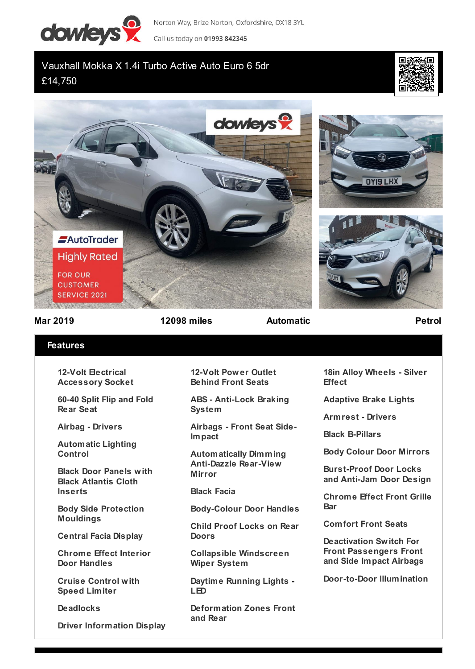

Norton Way, Brize Norton, Oxfordshire, OX18 3YL

Call us today on 01993 842345

## Vauxhall Mokka X 1.4i Turbo Active Auto Euro 6 5dr £14,750









**Mar 2019 12098 miles Automatic Petrol**

## **Features**

**12-Volt Electrical Accessory Socket**

**60-40 Split Flip and Fold Rear Seat**

**Airbag - Drivers**

**Automatic Lighting Control**

**Black Door Panels with Black Atlantis Cloth Inserts**

**Body Side Protection Mouldings**

**Central Facia Display**

**Chrome Effect Interior Door Handles**

**Cruise Control with Speed Limiter**

**Deadlocks**

**Driver Information Display**

**12-Volt Power Outlet Behind Front Seats**

**ABS - Anti-Lock Braking System**

**Airbags - Front Seat Side-Impact**

**Automatically Dimming Anti-Dazzle Rear-View Mirror**

**Black Facia**

**Body-Colour Door Handles**

**Child Proof Locks on Rear Doors**

**Collapsible Windscreen Wiper System**

**Daytime Running Lights - LED**

**Deformation Zones Front and Rear**

**18in Alloy Wheels - Silver Effect**

**Adaptive Brake Lights**

**Armrest - Drivers**

**Black B-Pillars**

**Body Colour Door Mirrors**

**Burst-Proof Door Locks and Anti-Jam Door Design**

**Chrome Effect Front Grille Bar**

**Comfort Front Seats**

**Deactivation Switch For Front Passengers Front and Side Impact Airbags**

**Door-to-Door Illumination**